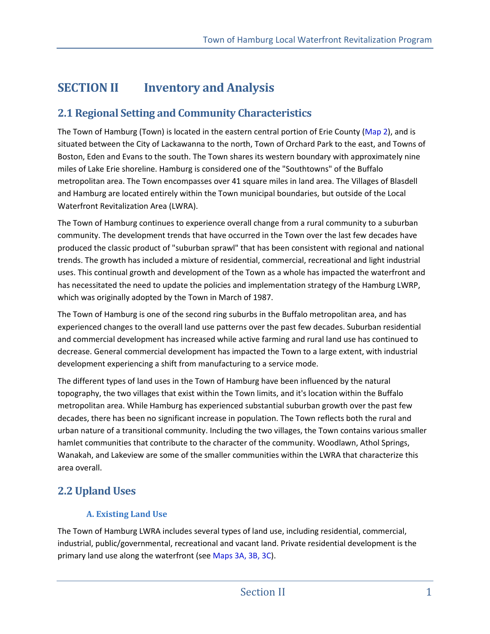# **SECTION II** Inventory and Analysis

## **2.1 Regional Setting and Community Characteristics**

The Town of Hamburg (Town) is located in the eastern central portion of Erie County (Map 2), and is situated between the City of Lackawanna to the north, Town of Orchard Park to the east, and Towns of Boston, Eden and Evans to the south. The Town shares its western boundary with approximately nine miles of Lake Erie shoreline. Hamburg is considered one of the "Southtowns" of the Buffalo metropolitan area. The Town encompasses over 41 square miles in land area. The Villages of Blasdell and Hamburg are located entirely within the Town municipal boundaries, but outside of the Local Waterfront Revitalization Area (LWRA).

The Town of Hamburg continues to experience overall change from a rural community to a suburban community. The development trends that have occurred in the Town over the last few decades have produced the classic product of "suburban sprawl" that has been consistent with regional and national trends. The growth has included a mixture of residential, commercial, recreational and light industrial uses. This continual growth and development of the Town as a whole has impacted the waterfront and has necessitated the need to update the policies and implementation strategy of the Hamburg LWRP, which was originally adopted by the Town in March of 1987.

The Town of Hamburg is one of the second ring suburbs in the Buffalo metropolitan area, and has experienced changes to the overall land use patterns over the past few decades. Suburban residential and commercial development has increased while active farming and rural land use has continued to decrease. General commercial development has impacted the Town to a large extent, with industrial development experiencing a shift from manufacturing to a service mode.

The different types of land uses in the Town of Hamburg have been influenced by the natural topography, the two villages that exist within the Town limits, and it's location within the Buffalo metropolitan area. While Hamburg has experienced substantial suburban growth over the past few decades, there has been no significant increase in population. The Town reflects both the rural and urban nature of a transitional community. Including the two villages, the Town contains various smaller hamlet communities that contribute to the character of the community. Woodlawn, Athol Springs, Wanakah, and Lakeview are some of the smaller communities within the LWRA that characterize this area overall.

## **2.2 Upland Uses**

## **A. Existing Land Use**

The Town of Hamburg LWRA includes several types of land use, including residential, commercial, industrial, public/governmental, recreational and vacant land. Private residential development is the primary land use along the waterfront (see Maps 3A, 3B, 3C).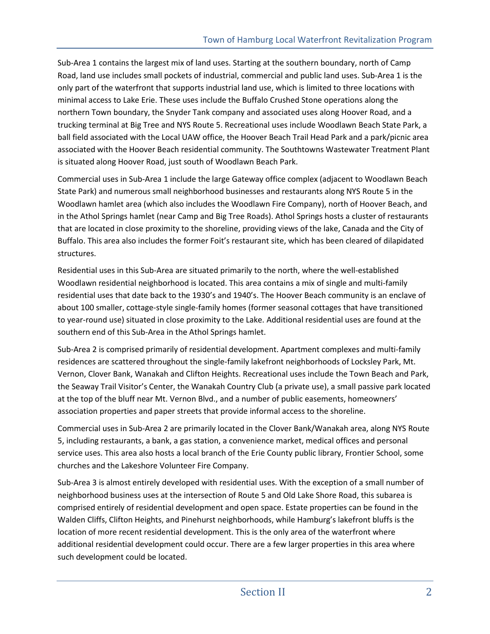Sub-Area 1 contains the largest mix of land uses. Starting at the southern boundary, north of Camp Road, land use includes small pockets of industrial, commercial and public land uses. Sub-Area 1 is the only part of the waterfront that supports industrial land use, which is limited to three locations with minimal access to Lake Erie. These uses include the Buffalo Crushed Stone operations along the northern Town boundary, the Snyder Tank company and associated uses along Hoover Road, and a trucking terminal at Big Tree and NYS Route 5. Recreational uses include Woodlawn Beach State Park, a ball field associated with the Local UAW office, the Hoover Beach Trail Head Park and a park/picnic area associated with the Hoover Beach residential community. The Southtowns Wastewater Treatment Plant is situated along Hoover Road, just south of Woodlawn Beach Park.

Commercial uses in Sub-Area 1 include the large Gateway office complex (adjacent to Woodlawn Beach State Park) and numerous small neighborhood businesses and restaurants along NYS Route 5 in the Woodlawn hamlet area (which also includes the Woodlawn Fire Company), north of Hoover Beach, and in the Athol Springs hamlet (near Camp and Big Tree Roads). Athol Springs hosts a cluster of restaurants that are located in close proximity to the shoreline, providing views of the lake, Canada and the City of Buffalo. This area also includes the former Foit's restaurant site, which has been cleared of dilapidated structures.

Residential uses in this Sub-Area are situated primarily to the north, where the well-established Woodlawn residential neighborhood is located. This area contains a mix of single and multi-family residential uses that date back to the 1930's and 1940's. The Hoover Beach community is an enclave of about 100 smaller, cottage-style single-family homes (former seasonal cottages that have transitioned to year-round use) situated in close proximity to the Lake. Additional residential uses are found at the southern end of this Sub-Area in the Athol Springs hamlet.

Sub-Area 2 is comprised primarily of residential development. Apartment complexes and multi-family residences are scattered throughout the single-family lakefront neighborhoods of Locksley Park, Mt. Vernon, Clover Bank, Wanakah and Clifton Heights. Recreational uses include the Town Beach and Park, the Seaway Trail Visitor's Center, the Wanakah Country Club (a private use), a small passive park located at the top of the bluff near Mt. Vernon Blvd., and a number of public easements, homeowners' association properties and paper streets that provide informal access to the shoreline.

Commercial uses in Sub-Area 2 are primarily located in the Clover Bank/Wanakah area, along NYS Route 5, including restaurants, a bank, a gas station, a convenience market, medical offices and personal service uses. This area also hosts a local branch of the Erie County public library, Frontier School, some churches and the Lakeshore Volunteer Fire Company.

Sub-Area 3 is almost entirely developed with residential uses. With the exception of a small number of neighborhood business uses at the intersection of Route 5 and Old Lake Shore Road, this subarea is comprised entirely of residential development and open space. Estate properties can be found in the Walden Cliffs, Clifton Heights, and Pinehurst neighborhoods, while Hamburg's lakefront bluffs is the location of more recent residential development. This is the only area of the waterfront where additional residential development could occur. There are a few larger properties in this area where such development could be located.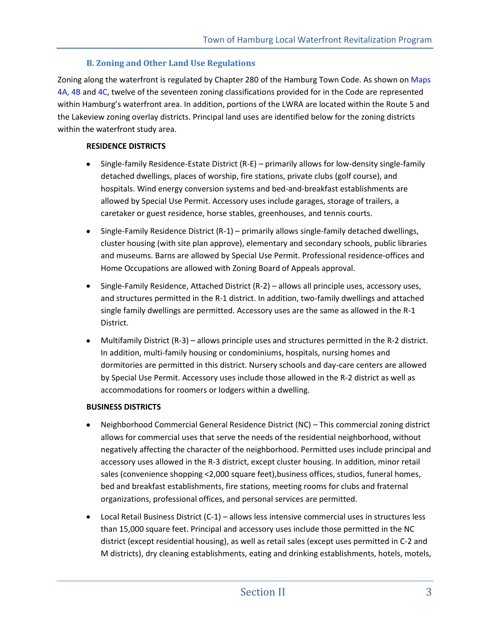### **B. Zoning and Other Land Use Regulations**

Zoning along the waterfront is regulated by Chapter 280 of the Hamburg Town Code. As shown on Maps 4A, 4B and 4C, twelve of the seventeen zoning classifications provided for in the Code are represented within Hamburg's waterfront area. In addition, portions of the LWRA are located within the Route 5 and the Lakeview zoning overlay districts. Principal land uses are identified below for the zoning districts within the waterfront study area.

### **RESIDENCE DISTRICTS**

- Single-family Residence-Estate District (R-E) primarily allows for low-density single-family  $\bullet$ detached dwellings, places of worship, fire stations, private clubs (golf course), and hospitals. Wind energy conversion systems and bed-and-breakfast establishments are allowed by Special Use Permit. Accessory uses include garages, storage of trailers, a caretaker or guest residence, horse stables, greenhouses, and tennis courts.
- Single-Family Residence District (R-1) primarily allows single-family detached dwellings, cluster housing (with site plan approve), elementary and secondary schools, public libraries and museums. Barns are allowed by Special Use Permit. Professional residence-offices and Home Occupations are allowed with Zoning Board of Appeals approval.
- Single-Family Residence, Attached District (R-2) allows all principle uses, accessory uses, and structures permitted in the R-1 district. In addition, two-family dwellings and attached single family dwellings are permitted. Accessory uses are the same as allowed in the R-1 District.
- Multifamily District (R-3) allows principle uses and structures permitted in the R-2 district.  $\bullet$ In addition, multi-family housing or condominiums, hospitals, nursing homes and dormitories are permitted in this district. Nursery schools and day-care centers are allowed by Special Use Permit. Accessory uses include those allowed in the R-2 district as well as accommodations for roomers or lodgers within a dwelling.

### **BUSINESS DISTRICTS**

- Neighborhood Commercial General Residence District (NC) This commercial zoning district allows for commercial uses that serve the needs of the residential neighborhood, without negatively affecting the character of the neighborhood. Permitted uses include principal and accessory uses allowed in the R-3 district, except cluster housing. In addition, minor retail sales (convenience shopping <2,000 square feet),business offices, studios, funeral homes, bed and breakfast establishments, fire stations, meeting rooms for clubs and fraternal organizations, professional offices, and personal services are permitted.
- Local Retail Business District (C-1) allows less intensive commercial uses in structures less than 15,000 square feet. Principal and accessory uses include those permitted in the NC district (except residential housing), as well as retail sales (except uses permitted in C-2 and M districts), dry cleaning establishments, eating and drinking establishments, hotels, motels,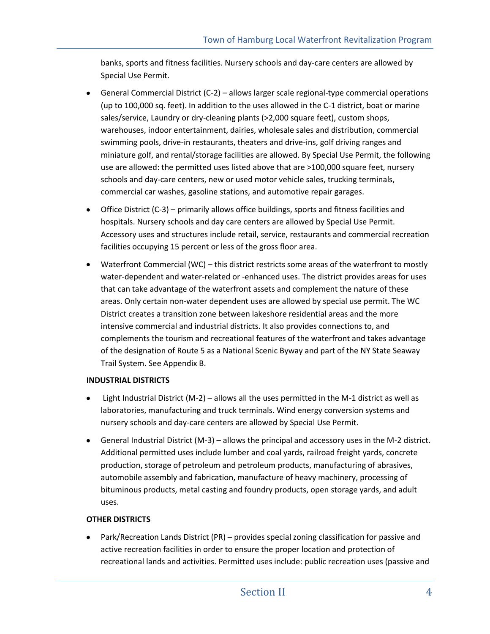banks, sports and fitness facilities. Nursery schools and day-care centers are allowed by Special Use Permit.

- General Commercial District (C-2) allows larger scale regional-type commercial operations (up to 100,000 sq. feet). In addition to the uses allowed in the C-1 district, boat or marine sales/service, Laundry or dry-cleaning plants (>2,000 square feet), custom shops, warehouses, indoor entertainment, dairies, wholesale sales and distribution, commercial swimming pools, drive-in restaurants, theaters and drive-ins, golf driving ranges and miniature golf, and rental/storage facilities are allowed. By Special Use Permit, the following use are allowed: the permitted uses listed above that are >100,000 square feet, nursery schools and day-care centers, new or used motor vehicle sales, trucking terminals, commercial car washes, gasoline stations, and automotive repair garages.
- Office District (C-3) primarily allows office buildings, sports and fitness facilities and hospitals. Nursery schools and day care centers are allowed by Special Use Permit. Accessory uses and structures include retail, service, restaurants and commercial recreation facilities occupying 15 percent or less of the gross floor area.
- Waterfront Commercial (WC) this district restricts some areas of the waterfront to mostly water-dependent and water-related or -enhanced uses. The district provides areas for uses that can take advantage of the waterfront assets and complement the nature of these areas. Only certain non-water dependent uses are allowed by special use permit. The WC District creates a transition zone between lakeshore residential areas and the more intensive commercial and industrial districts. It also provides connections to, and complements the tourism and recreational features of the waterfront and takes advantage of the designation of Route 5 as a National Scenic Byway and part of the NY State Seaway Trail System. See Appendix B.

### **INDUSTRIAL DISTRICTS**

- Light Industrial District (M-2) allows all the uses permitted in the M-1 district as well as laboratories, manufacturing and truck terminals. Wind energy conversion systems and nursery schools and day-care centers are allowed by Special Use Permit.
- General Industrial District (M-3) allows the principal and accessory uses in the M-2 district. Additional permitted uses include lumber and coal yards, railroad freight yards, concrete production, storage of petroleum and petroleum products, manufacturing of abrasives, automobile assembly and fabrication, manufacture of heavy machinery, processing of bituminous products, metal casting and foundry products, open storage yards, and adult uses.

### **OTHER DISTRICTS**

Park/Recreation Lands District (PR) – provides special zoning classification for passive and  $\bullet$ active recreation facilities in order to ensure the proper location and protection of recreational lands and activities. Permitted uses include: public recreation uses (passive and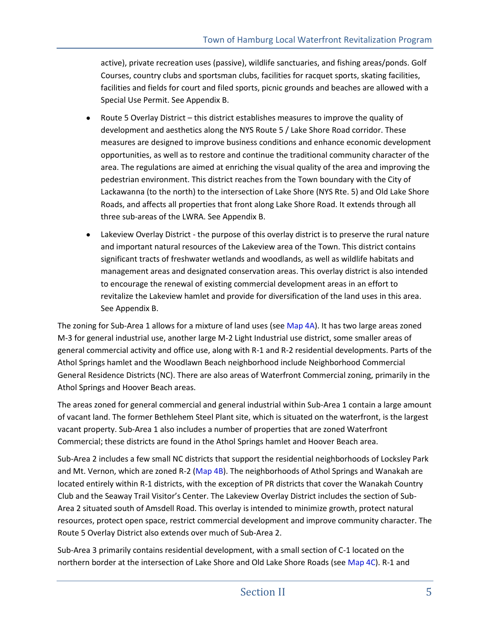active), private recreation uses (passive), wildlife sanctuaries, and fishing areas/ponds. Golf Courses, country clubs and sportsman clubs, facilities for racquet sports, skating facilities, facilities and fields for court and filed sports, picnic grounds and beaches are allowed with a Special Use Permit. See Appendix B.

- Route 5 Overlay District this district establishes measures to improve the quality of development and aesthetics along the NYS Route 5 / Lake Shore Road corridor. These measures are designed to improve business conditions and enhance economic development opportunities, as well as to restore and continue the traditional community character of the area. The regulations are aimed at enriching the visual quality of the area and improving the pedestrian environment. This district reaches from the Town boundary with the City of Lackawanna (to the north) to the intersection of Lake Shore (NYS Rte. 5) and Old Lake Shore Roads, and affects all properties that front along Lake Shore Road. It extends through all three sub-areas of the LWRA. See Appendix B.
- Lakeview Overlay District the purpose of this overlay district is to preserve the rural nature and important natural resources of the Lakeview area of the Town. This district contains significant tracts of freshwater wetlands and woodlands, as well as wildlife habitats and management areas and designated conservation areas. This overlay district is also intended to encourage the renewal of existing commercial development areas in an effort to revitalize the Lakeview hamlet and provide for diversification of the land uses in this area. See Appendix B.

The zoning for Sub-Area 1 allows for a mixture of land uses (see Map 4A). It has two large areas zoned M-3 for general industrial use, another large M-2 Light Industrial use district, some smaller areas of general commercial activity and office use, along with R-1 and R-2 residential developments. Parts of the Athol Springs hamlet and the Woodlawn Beach neighborhood include Neighborhood Commercial General Residence Districts (NC). There are also areas of Waterfront Commercial zoning, primarily in the Athol Springs and Hoover Beach areas.

The areas zoned for general commercial and general industrial within Sub-Area 1 contain a large amount of vacant land. The former Bethlehem Steel Plant site, which is situated on the waterfront, is the largest vacant property. Sub-Area 1 also includes a number of properties that are zoned Waterfront Commercial; these districts are found in the Athol Springs hamlet and Hoover Beach area.

Sub-Area 2 includes a few small NC districts that support the residential neighborhoods of Locksley Park and Mt. Vernon, which are zoned R-2 (Map 4B). The neighborhoods of Athol Springs and Wanakah are located entirely within R-1 districts, with the exception of PR districts that cover the Wanakah Country Club and the Seaway Trail Visitor's Center. The Lakeview Overlay District includes the section of Sub-Area 2 situated south of Amsdell Road. This overlay is intended to minimize growth, protect natural resources, protect open space, restrict commercial development and improve community character. The Route 5 Overlay District also extends over much of Sub-Area 2.

Sub-Area 3 primarily contains residential development, with a small section of C-1 located on the northern border at the intersection of Lake Shore and Old Lake Shore Roads (see Map 4C). R-1 and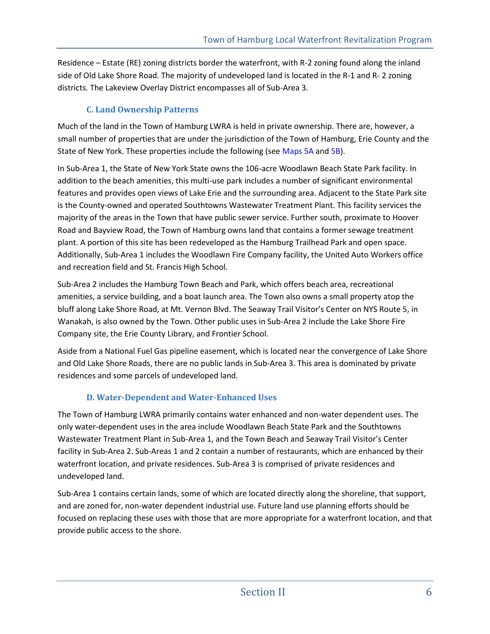Residence – Estate (RE) zoning districts border the waterfront, with R-2 zoning found along the inland side of Old Lake Shore Road. The majority of undeveloped land is located in the R-1 and R- 2 zoning districts. The Lakeview Overlay District encompasses all of Sub-Area 3.

### **C. Land Ownership Patterns**

Much of the land in the Town of Hamburg LWRA is held in private ownership. There are, however, a small number of properties that are under the jurisdiction of the Town of Hamburg, Erie County and the State of New York. These properties include the following (see Maps 5A and 5B).

In Sub-Area 1, the State of New York State owns the 106-acre Woodlawn Beach State Park facility. In addition to the beach amenities, this multi-use park includes a number of significant environmental features and provides open views of Lake Erie and the surrounding area. Adjacent to the State Park site is the County-owned and operated Southtowns Wastewater Treatment Plant. This facility services the majority of the areas in the Town that have public sewer service. Further south, proximate to Hoover Road and Bayview Road, the Town of Hamburg owns land that contains a former sewage treatment plant. A portion of this site has been redeveloped as the Hamburg Trailhead Park and open space. Additionally, Sub-Area 1 includes the Woodlawn Fire Company facility, the United Auto Workers office and recreation field and St. Francis High School.

Sub-Area 2 includes the Hamburg Town Beach and Park, which offers beach area, recreational amenities, a service building, and a boat launch area. The Town also owns a small property atop the bluff along Lake Shore Road, at Mt. Vernon Blvd. The Seaway Trail Visitor's Center on NYS Route 5, in Wanakah, is also owned by the Town. Other public uses in Sub-Area 2 include the Lake Shore Fire Company site, the Erie County Library, and Frontier School.

Aside from a National Fuel Gas pipeline easement, which is located near the convergence of Lake Shore and Old Lake Shore Roads, there are no public lands in Sub-Area 3. This area is dominated by private residences and some parcels of undeveloped land.

## **D. Water-Dependent and Water-Enhanced Uses**

The Town of Hamburg LWRA primarily contains water enhanced and non-water dependent uses. The only water-dependent uses in the area include Woodlawn Beach State Park and the Southtowns Wastewater Treatment Plant in Sub-Area 1, and the Town Beach and Seaway Trail Visitor's Center facility in Sub-Area 2. Sub-Areas 1 and 2 contain a number of restaurants, which are enhanced by their waterfront location, and private residences. Sub-Area 3 is comprised of private residences and undeveloped land.

Sub-Area 1 contains certain lands, some of which are located directly along the shoreline, that support, and are zoned for, non-water dependent industrial use. Future land use planning efforts should be focused on replacing these uses with those that are more appropriate for a waterfront location, and that provide public access to the shore.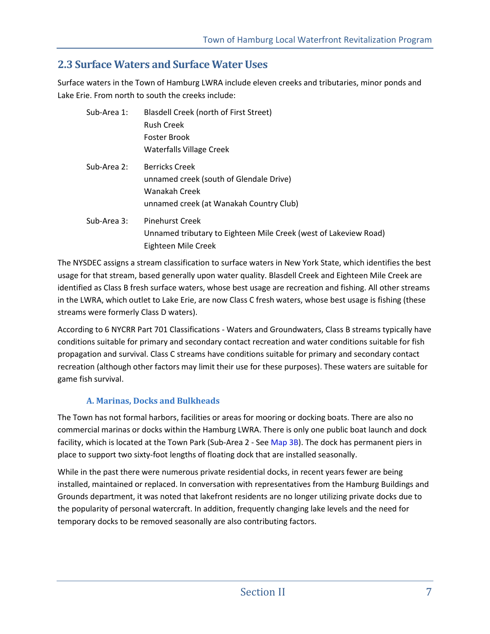## **2.3 Surface Waters and Surface Water Uses**

Surface waters in the Town of Hamburg LWRA include eleven creeks and tributaries, minor ponds and Lake Erie. From north to south the creeks include:

| Sub-Area 1: | <b>Blasdell Creek (north of First Street)</b>                    |
|-------------|------------------------------------------------------------------|
|             | <b>Rush Creek</b>                                                |
|             | Foster Brook                                                     |
|             | <b>Waterfalls Village Creek</b>                                  |
| Sub-Area 2: | <b>Berricks Creek</b>                                            |
|             | unnamed creek (south of Glendale Drive)                          |
|             | Wanakah Creek                                                    |
|             | unnamed creek (at Wanakah Country Club)                          |
| Sub-Area 3: | Pinehurst Creek                                                  |
|             | Unnamed tributary to Eighteen Mile Creek (west of Lakeview Road) |
|             | Eighteen Mile Creek                                              |

The NYSDEC assigns a stream classification to surface waters in New York State, which identifies the best usage for that stream, based generally upon water quality. Blasdell Creek and Eighteen Mile Creek are identified as Class B fresh surface waters, whose best usage are recreation and fishing. All other streams in the LWRA, which outlet to Lake Erie, are now Class C fresh waters, whose best usage is fishing (these streams were formerly Class D waters).

According to 6 NYCRR Part 701 Classifications - Waters and Groundwaters, Class B streams typically have conditions suitable for primary and secondary contact recreation and water conditions suitable for fish propagation and survival. Class C streams have conditions suitable for primary and secondary contact recreation (although other factors may limit their use for these purposes). These waters are suitable for game fish survival.

## **A. Marinas, Docks and Bulkheads**

The Town has not formal harbors, facilities or areas for mooring or docking boats. There are also no commercial marinas or docks within the Hamburg LWRA. There is only one public boat launch and dock facility, which is located at the Town Park (Sub-Area 2 - See Map 3B). The dock has permanent piers in place to support two sixty-foot lengths of floating dock that are installed seasonally.

While in the past there were numerous private residential docks, in recent years fewer are being installed, maintained or replaced. In conversation with representatives from the Hamburg Buildings and Grounds department, it was noted that lakefront residents are no longer utilizing private docks due to the popularity of personal watercraft. In addition, frequently changing lake levels and the need for temporary docks to be removed seasonally are also contributing factors.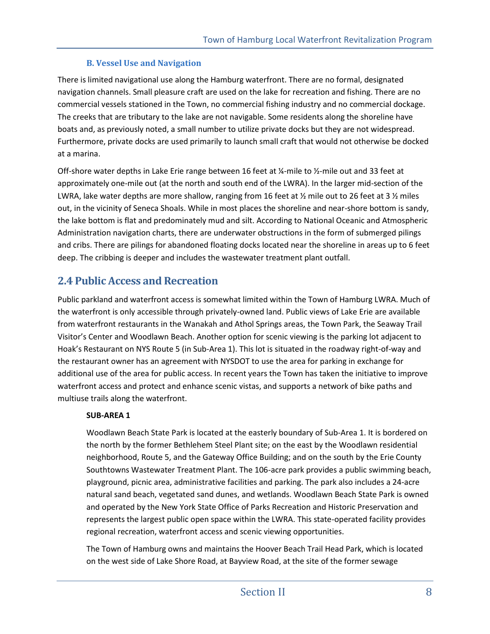### **B. Vessel Use and Navigation**

There is limited navigational use along the Hamburg waterfront. There are no formal, designated navigation channels. Small pleasure craft are used on the lake for recreation and fishing. There are no commercial vessels stationed in the Town, no commercial fishing industry and no commercial dockage. The creeks that are tributary to the lake are not navigable. Some residents along the shoreline have boats and, as previously noted, a small number to utilize private docks but they are not widespread. Furthermore, private docks are used primarily to launch small craft that would not otherwise be docked at a marina.

Off-shore water depths in Lake Erie range between 16 feet at ¼-mile to ½-mile out and 33 feet at approximately one-mile out (at the north and south end of the LWRA). In the larger mid-section of the LWRA, lake water depths are more shallow, ranging from 16 feet at  $\frac{1}{2}$  mile out to 26 feet at 3  $\frac{1}{2}$  miles out, in the vicinity of Seneca Shoals. While in most places the shoreline and near-shore bottom is sandy, the lake bottom is flat and predominately mud and silt. According to National Oceanic and Atmospheric Administration navigation charts, there are underwater obstructions in the form of submerged pilings and cribs. There are pilings for abandoned floating docks located near the shoreline in areas up to 6 feet deep. The cribbing is deeper and includes the wastewater treatment plant outfall.

## **2.4 Public Access and Recreation**

Public parkland and waterfront access is somewhat limited within the Town of Hamburg LWRA. Much of the waterfront is only accessible through privately-owned land. Public views of Lake Erie are available from waterfront restaurants in the Wanakah and Athol Springs areas, the Town Park, the Seaway Trail Visitor's Center and Woodlawn Beach. Another option for scenic viewing is the parking lot adjacent to Hoak's Restaurant on NYS Route 5 (in Sub-Area 1). This lot is situated in the roadway right-of-way and the restaurant owner has an agreement with NYSDOT to use the area for parking in exchange for additional use of the area for public access. In recent years the Town has taken the initiative to improve waterfront access and protect and enhance scenic vistas, and supports a network of bike paths and multiuse trails along the waterfront.

### **SUB-AREA 1**

Woodlawn Beach State Park is located at the easterly boundary of Sub-Area 1. It is bordered on the north by the former Bethlehem Steel Plant site; on the east by the Woodlawn residential neighborhood, Route 5, and the Gateway Office Building; and on the south by the Erie County Southtowns Wastewater Treatment Plant. The 106-acre park provides a public swimming beach, playground, picnic area, administrative facilities and parking. The park also includes a 24-acre natural sand beach, vegetated sand dunes, and wetlands. Woodlawn Beach State Park is owned and operated by the New York State Office of Parks Recreation and Historic Preservation and represents the largest public open space within the LWRA. This state-operated facility provides regional recreation, waterfront access and scenic viewing opportunities.

The Town of Hamburg owns and maintains the Hoover Beach Trail Head Park, which is located on the west side of Lake Shore Road, at Bayview Road, at the site of the former sewage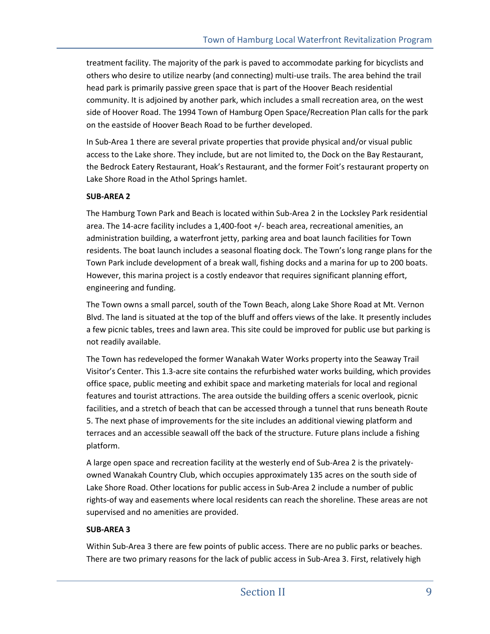treatment facility. The majority of the park is paved to accommodate parking for bicyclists and others who desire to utilize nearby (and connecting) multi-use trails. The area behind the trail head park is primarily passive green space that is part of the Hoover Beach residential community. It is adjoined by another park, which includes a small recreation area, on the west side of Hoover Road. The 1994 Town of Hamburg Open Space/Recreation Plan calls for the park on the eastside of Hoover Beach Road to be further developed.

In Sub-Area 1 there are several private properties that provide physical and/or visual public access to the Lake shore. They include, but are not limited to, the Dock on the Bay Restaurant, the Bedrock Eatery Restaurant, Hoak's Restaurant, and the former Foit's restaurant property on Lake Shore Road in the Athol Springs hamlet.

#### **SUB-AREA 2**

The Hamburg Town Park and Beach is located within Sub-Area 2 in the Locksley Park residential area. The 14-acre facility includes a 1,400-foot +/- beach area, recreational amenities, an administration building, a waterfront jetty, parking area and boat launch facilities for Town residents. The boat launch includes a seasonal floating dock. The Town's long range plans for the Town Park include development of a break wall, fishing docks and a marina for up to 200 boats. However, this marina project is a costly endeavor that requires significant planning effort, engineering and funding.

The Town owns a small parcel, south of the Town Beach, along Lake Shore Road at Mt. Vernon Blvd. The land is situated at the top of the bluff and offers views of the lake. It presently includes a few picnic tables, trees and lawn area. This site could be improved for public use but parking is not readily available.

The Town has redeveloped the former Wanakah Water Works property into the Seaway Trail Visitor's Center. This 1.3-acre site contains the refurbished water works building, which provides office space, public meeting and exhibit space and marketing materials for local and regional features and tourist attractions. The area outside the building offers a scenic overlook, picnic facilities, and a stretch of beach that can be accessed through a tunnel that runs beneath Route 5. The next phase of improvements for the site includes an additional viewing platform and terraces and an accessible seawall off the back of the structure. Future plans include a fishing platform.

A large open space and recreation facility at the westerly end of Sub-Area 2 is the privatelyowned Wanakah Country Club, which occupies approximately 135 acres on the south side of Lake Shore Road. Other locations for public access in Sub-Area 2 include a number of public rights-of way and easements where local residents can reach the shoreline. These areas are not supervised and no amenities are provided.

### **SUB-AREA 3**

Within Sub-Area 3 there are few points of public access. There are no public parks or beaches. There are two primary reasons for the lack of public access in Sub-Area 3. First, relatively high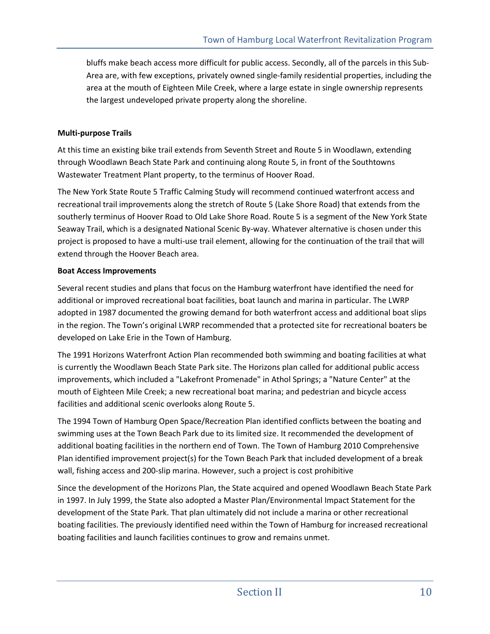bluffs make beach access more difficult for public access. Secondly, all of the parcels in this Sub-Area are, with few exceptions, privately owned single-family residential properties, including the area at the mouth of Eighteen Mile Creek, where a large estate in single ownership represents the largest undeveloped private property along the shoreline.

#### **Multi-purpose Trails**

At this time an existing bike trail extends from Seventh Street and Route 5 in Woodlawn, extending through Woodlawn Beach State Park and continuing along Route 5, in front of the Southtowns Wastewater Treatment Plant property, to the terminus of Hoover Road.

The New York State Route 5 Traffic Calming Study will recommend continued waterfront access and recreational trail improvements along the stretch of Route 5 (Lake Shore Road) that extends from the southerly terminus of Hoover Road to Old Lake Shore Road. Route 5 is a segment of the New York State Seaway Trail, which is a designated National Scenic By-way. Whatever alternative is chosen under this project is proposed to have a multi-use trail element, allowing for the continuation of the trail that will extend through the Hoover Beach area.

#### **Boat Access Improvements**

Several recent studies and plans that focus on the Hamburg waterfront have identified the need for additional or improved recreational boat facilities, boat launch and marina in particular. The LWRP adopted in 1987 documented the growing demand for both waterfront access and additional boat slips in the region. The Town's original LWRP recommended that a protected site for recreational boaters be developed on Lake Erie in the Town of Hamburg.

The 1991 Horizons Waterfront Action Plan recommended both swimming and boating facilities at what is currently the Woodlawn Beach State Park site. The Horizons plan called for additional public access improvements, which included a "Lakefront Promenade" in Athol Springs; a "Nature Center" at the mouth of Eighteen Mile Creek; a new recreational boat marina; and pedestrian and bicycle access facilities and additional scenic overlooks along Route 5.

The 1994 Town of Hamburg Open Space/Recreation Plan identified conflicts between the boating and swimming uses at the Town Beach Park due to its limited size. It recommended the development of additional boating facilities in the northern end of Town. The Town of Hamburg 2010 Comprehensive Plan identified improvement project(s) for the Town Beach Park that included development of a break wall, fishing access and 200-slip marina. However, such a project is cost prohibitive

Since the development of the Horizons Plan, the State acquired and opened Woodlawn Beach State Park in 1997. In July 1999, the State also adopted a Master Plan/Environmental Impact Statement for the development of the State Park. That plan ultimately did not include a marina or other recreational boating facilities. The previously identified need within the Town of Hamburg for increased recreational boating facilities and launch facilities continues to grow and remains unmet.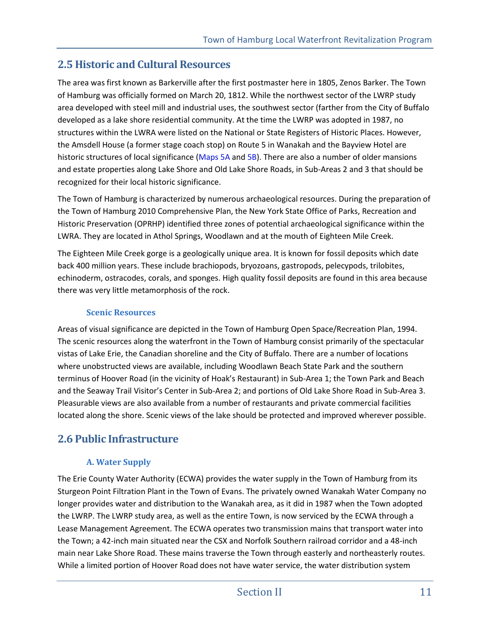## **2.5 Historic and Cultural Resources**

The area was first known as Barkerville after the first postmaster here in 1805, Zenos Barker. The Town of Hamburg was officially formed on March 20, 1812. While the northwest sector of the LWRP study area developed with steel mill and industrial uses, the southwest sector (farther from the City of Buffalo developed as a lake shore residential community. At the time the LWRP was adopted in 1987, no structures within the LWRA were listed on the National or State Registers of Historic Places. However, the Amsdell House (a former stage coach stop) on Route 5 in Wanakah and the Bayview Hotel are historic structures of local significance (Maps 5A and 5B). There are also a number of older mansions and estate properties along Lake Shore and Old Lake Shore Roads, in Sub-Areas 2 and 3 that should be recognized for their local historic significance.

The Town of Hamburg is characterized by numerous archaeological resources. During the preparation of the Town of Hamburg 2010 Comprehensive Plan, the New York State Office of Parks, Recreation and Historic Preservation (OPRHP) identified three zones of potential archaeological significance within the LWRA. They are located in Athol Springs, Woodlawn and at the mouth of Eighteen Mile Creek.

The Eighteen Mile Creek gorge is a geologically unique area. It is known for fossil deposits which date back 400 million years. These include brachiopods, bryozoans, gastropods, pelecypods, trilobites, echinoderm, ostracodes, corals, and sponges. High quality fossil deposits are found in this area because there was very little metamorphosis of the rock.

### **Scenic Resources**

Areas of visual significance are depicted in the Town of Hamburg Open Space/Recreation Plan, 1994. The scenic resources along the waterfront in the Town of Hamburg consist primarily of the spectacular vistas of Lake Erie, the Canadian shoreline and the City of Buffalo. There are a number of locations where unobstructed views are available, including Woodlawn Beach State Park and the southern terminus of Hoover Road (in the vicinity of Hoak's Restaurant) in Sub-Area 1; the Town Park and Beach and the Seaway Trail Visitor's Center in Sub-Area 2; and portions of Old Lake Shore Road in Sub-Area 3. Pleasurable views are also available from a number of restaurants and private commercial facilities located along the shore. Scenic views of the lake should be protected and improved wherever possible.

## **2.6 Public Infrastructure**

## **A. Water Supply**

The Erie County Water Authority (ECWA) provides the water supply in the Town of Hamburg from its Sturgeon Point Filtration Plant in the Town of Evans. The privately owned Wanakah Water Company no longer provides water and distribution to the Wanakah area, as it did in 1987 when the Town adopted the LWRP. The LWRP study area, as well as the entire Town, is now serviced by the ECWA through a Lease Management Agreement. The ECWA operates two transmission mains that transport water into the Town; a 42-inch main situated near the CSX and Norfolk Southern railroad corridor and a 48-inch main near Lake Shore Road. These mains traverse the Town through easterly and northeasterly routes. While a limited portion of Hoover Road does not have water service, the water distribution system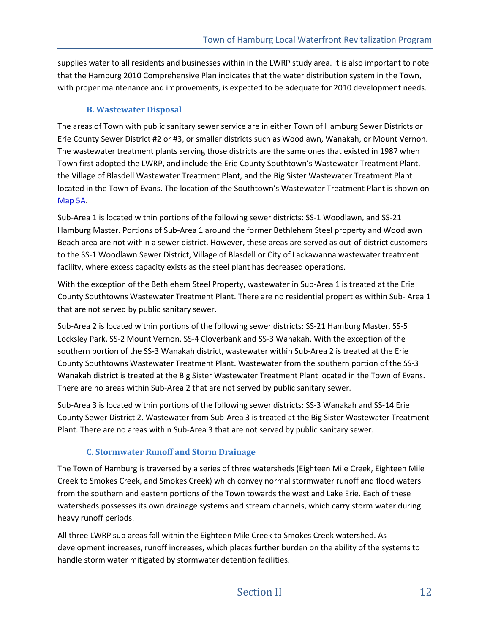supplies water to all residents and businesses within in the LWRP study area. It is also important to note that the Hamburg 2010 Comprehensive Plan indicates that the water distribution system in the Town, with proper maintenance and improvements, is expected to be adequate for 2010 development needs.

### **B. Wastewater Disposal**

The areas of Town with public sanitary sewer service are in either Town of Hamburg Sewer Districts or Erie County Sewer District #2 or #3, or smaller districts such as Woodlawn, Wanakah, or Mount Vernon. The wastewater treatment plants serving those districts are the same ones that existed in 1987 when Town first adopted the LWRP, and include the Erie County Southtown's Wastewater Treatment Plant, the Village of Blasdell Wastewater Treatment Plant, and the Big Sister Wastewater Treatment Plant located in the Town of Evans. The location of the Southtown's Wastewater Treatment Plant is shown on Map 5A.

Sub-Area 1 is located within portions of the following sewer districts: SS-1 Woodlawn, and SS-21 Hamburg Master. Portions of Sub-Area 1 around the former Bethlehem Steel property and Woodlawn Beach area are not within a sewer district. However, these areas are served as out-of district customers to the SS-1 Woodlawn Sewer District, Village of Blasdell or City of Lackawanna wastewater treatment facility, where excess capacity exists as the steel plant has decreased operations.

With the exception of the Bethlehem Steel Property, wastewater in Sub-Area 1 is treated at the Erie County Southtowns Wastewater Treatment Plant. There are no residential properties within Sub- Area 1 that are not served by public sanitary sewer.

Sub-Area 2 is located within portions of the following sewer districts: SS-21 Hamburg Master, SS-5 Locksley Park, SS-2 Mount Vernon, SS-4 Cloverbank and SS-3 Wanakah. With the exception of the southern portion of the SS-3 Wanakah district, wastewater within Sub-Area 2 is treated at the Erie County Southtowns Wastewater Treatment Plant. Wastewater from the southern portion of the SS-3 Wanakah district is treated at the Big Sister Wastewater Treatment Plant located in the Town of Evans. There are no areas within Sub-Area 2 that are not served by public sanitary sewer.

Sub-Area 3 is located within portions of the following sewer districts: SS-3 Wanakah and SS-14 Erie County Sewer District 2. Wastewater from Sub-Area 3 is treated at the Big Sister Wastewater Treatment Plant. There are no areas within Sub-Area 3 that are not served by public sanitary sewer.

## **C. Stormwater Runoff and Storm Drainage**

The Town of Hamburg is traversed by a series of three watersheds (Eighteen Mile Creek, Eighteen Mile Creek to Smokes Creek, and Smokes Creek) which convey normal stormwater runoff and flood waters from the southern and eastern portions of the Town towards the west and Lake Erie. Each of these watersheds possesses its own drainage systems and stream channels, which carry storm water during heavy runoff periods.

All three LWRP sub areas fall within the Eighteen Mile Creek to Smokes Creek watershed. As development increases, runoff increases, which places further burden on the ability of the systems to handle storm water mitigated by stormwater detention facilities.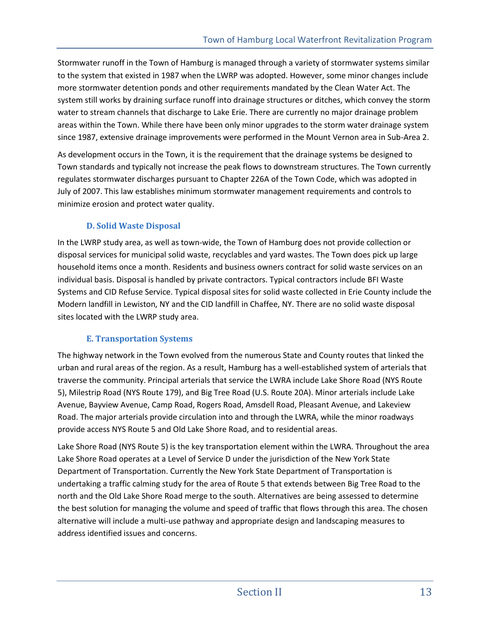Stormwater runoff in the Town of Hamburg is managed through a variety of stormwater systems similar to the system that existed in 1987 when the LWRP was adopted. However, some minor changes include more stormwater detention ponds and other requirements mandated by the Clean Water Act. The system still works by draining surface runoff into drainage structures or ditches, which convey the storm water to stream channels that discharge to Lake Erie. There are currently no major drainage problem areas within the Town. While there have been only minor upgrades to the storm water drainage system since 1987, extensive drainage improvements were performed in the Mount Vernon area in Sub-Area 2.

As development occurs in the Town, it is the requirement that the drainage systems be designed to Town standards and typically not increase the peak flows to downstream structures. The Town currently regulates stormwater discharges pursuant to Chapter 226A of the Town Code, which was adopted in July of 2007. This law establishes minimum stormwater management requirements and controls to minimize erosion and protect water quality.

### **D. Solid Waste Disposal**

In the LWRP study area, as well as town-wide, the Town of Hamburg does not provide collection or disposal services for municipal solid waste, recyclables and yard wastes. The Town does pick up large household items once a month. Residents and business owners contract for solid waste services on an individual basis. Disposal is handled by private contractors. Typical contractors include BFI Waste Systems and CID Refuse Service. Typical disposal sites for solid waste collected in Erie County include the Modern landfill in Lewiston, NY and the CID landfill in Chaffee, NY. There are no solid waste disposal sites located with the LWRP study area.

## **E. Transportation Systems**

The highway network in the Town evolved from the numerous State and County routes that linked the urban and rural areas of the region. As a result, Hamburg has a well-established system of arterials that traverse the community. Principal arterials that service the LWRA include Lake Shore Road (NYS Route 5), Milestrip Road (NYS Route 179), and Big Tree Road (U.S. Route 20A). Minor arterials include Lake Avenue, Bayview Avenue, Camp Road, Rogers Road, Amsdell Road, Pleasant Avenue, and Lakeview Road. The major arterials provide circulation into and through the LWRA, while the minor roadways provide access NYS Route 5 and Old Lake Shore Road, and to residential areas.

Lake Shore Road (NYS Route 5) is the key transportation element within the LWRA. Throughout the area Lake Shore Road operates at a Level of Service D under the jurisdiction of the New York State Department of Transportation. Currently the New York State Department of Transportation is undertaking a traffic calming study for the area of Route 5 that extends between Big Tree Road to the north and the Old Lake Shore Road merge to the south. Alternatives are being assessed to determine the best solution for managing the volume and speed of traffic that flows through this area. The chosen alternative will include a multi-use pathway and appropriate design and landscaping measures to address identified issues and concerns.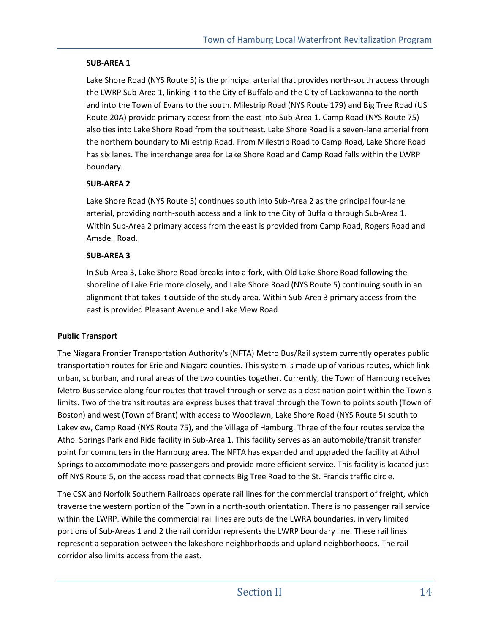#### **SUB-AREA 1**

Lake Shore Road (NYS Route 5) is the principal arterial that provides north-south access through the LWRP Sub-Area 1, linking it to the City of Buffalo and the City of Lackawanna to the north and into the Town of Evans to the south. Milestrip Road (NYS Route 179) and Big Tree Road (US Route 20A) provide primary access from the east into Sub-Area 1. Camp Road (NYS Route 75) also ties into Lake Shore Road from the southeast. Lake Shore Road is a seven-lane arterial from the northern boundary to Milestrip Road. From Milestrip Road to Camp Road, Lake Shore Road has six lanes. The interchange area for Lake Shore Road and Camp Road falls within the LWRP boundary.

#### **SUB-AREA 2**

Lake Shore Road (NYS Route 5) continues south into Sub-Area 2 as the principal four-lane arterial, providing north-south access and a link to the City of Buffalo through Sub-Area 1. Within Sub-Area 2 primary access from the east is provided from Camp Road, Rogers Road and Amsdell Road.

#### **SUB-AREA 3**

In Sub-Area 3, Lake Shore Road breaks into a fork, with Old Lake Shore Road following the shoreline of Lake Erie more closely, and Lake Shore Road (NYS Route 5) continuing south in an alignment that takes it outside of the study area. Within Sub-Area 3 primary access from the east is provided Pleasant Avenue and Lake View Road.

#### **Public Transport**

The Niagara Frontier Transportation Authority's (NFTA) Metro Bus/Rail system currently operates public transportation routes for Erie and Niagara counties. This system is made up of various routes, which link urban, suburban, and rural areas of the two counties together. Currently, the Town of Hamburg receives Metro Bus service along four routes that travel through or serve as a destination point within the Town's limits. Two of the transit routes are express buses that travel through the Town to points south (Town of Boston) and west (Town of Brant) with access to Woodlawn, Lake Shore Road (NYS Route 5) south to Lakeview, Camp Road (NYS Route 75), and the Village of Hamburg. Three of the four routes service the Athol Springs Park and Ride facility in Sub-Area 1. This facility serves as an automobile/transit transfer point for commuters in the Hamburg area. The NFTA has expanded and upgraded the facility at Athol Springs to accommodate more passengers and provide more efficient service. This facility is located just off NYS Route 5, on the access road that connects Big Tree Road to the St. Francis traffic circle.

The CSX and Norfolk Southern Railroads operate rail lines for the commercial transport of freight, which traverse the western portion of the Town in a north-south orientation. There is no passenger rail service within the LWRP. While the commercial rail lines are outside the LWRA boundaries, in very limited portions of Sub-Areas 1 and 2 the rail corridor represents the LWRP boundary line. These rail lines represent a separation between the lakeshore neighborhoods and upland neighborhoods. The rail corridor also limits access from the east.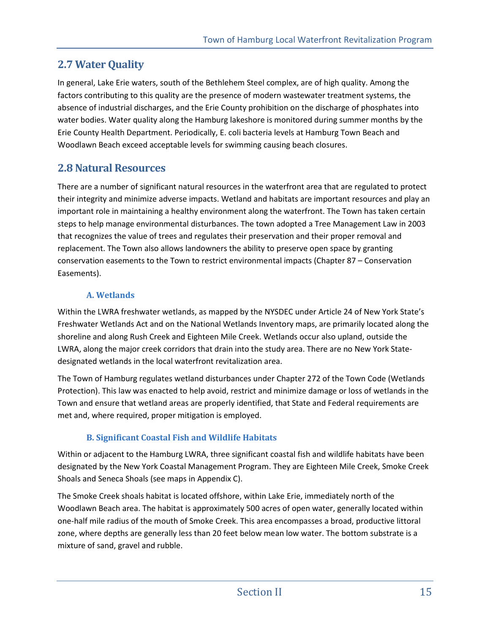## **2.7 Water Quality**

In general, Lake Erie waters, south of the Bethlehem Steel complex, are of high quality. Among the factors contributing to this quality are the presence of modern wastewater treatment systems, the absence of industrial discharges, and the Erie County prohibition on the discharge of phosphates into water bodies. Water quality along the Hamburg lakeshore is monitored during summer months by the Erie County Health Department. Periodically, E. coli bacteria levels at Hamburg Town Beach and Woodlawn Beach exceed acceptable levels for swimming causing beach closures.

## **2.8 Natural Resources**

There are a number of significant natural resources in the waterfront area that are regulated to protect their integrity and minimize adverse impacts. Wetland and habitats are important resources and play an important role in maintaining a healthy environment along the waterfront. The Town has taken certain steps to help manage environmental disturbances. The town adopted a Tree Management Law in 2003 that recognizes the value of trees and regulates their preservation and their proper removal and replacement. The Town also allows landowners the ability to preserve open space by granting conservation easements to the Town to restrict environmental impacts (Chapter 87 – Conservation Easements).

## **A. Wetlands**

Within the LWRA freshwater wetlands, as mapped by the NYSDEC under Article 24 of New York State's Freshwater Wetlands Act and on the National Wetlands Inventory maps, are primarily located along the shoreline and along Rush Creek and Eighteen Mile Creek. Wetlands occur also upland, outside the LWRA, along the major creek corridors that drain into the study area. There are no New York Statedesignated wetlands in the local waterfront revitalization area.

The Town of Hamburg regulates wetland disturbances under Chapter 272 of the Town Code (Wetlands Protection). This law was enacted to help avoid, restrict and minimize damage or loss of wetlands in the Town and ensure that wetland areas are properly identified, that State and Federal requirements are met and, where required, proper mitigation is employed.

## **B. Significant Coastal Fish and Wildlife Habitats**

Within or adjacent to the Hamburg LWRA, three significant coastal fish and wildlife habitats have been designated by the New York Coastal Management Program. They are Eighteen Mile Creek, Smoke Creek Shoals and Seneca Shoals (see maps in Appendix C).

The Smoke Creek shoals habitat is located offshore, within Lake Erie, immediately north of the Woodlawn Beach area. The habitat is approximately 500 acres of open water, generally located within one-half mile radius of the mouth of Smoke Creek. This area encompasses a broad, productive littoral zone, where depths are generally less than 20 feet below mean low water. The bottom substrate is a mixture of sand, gravel and rubble.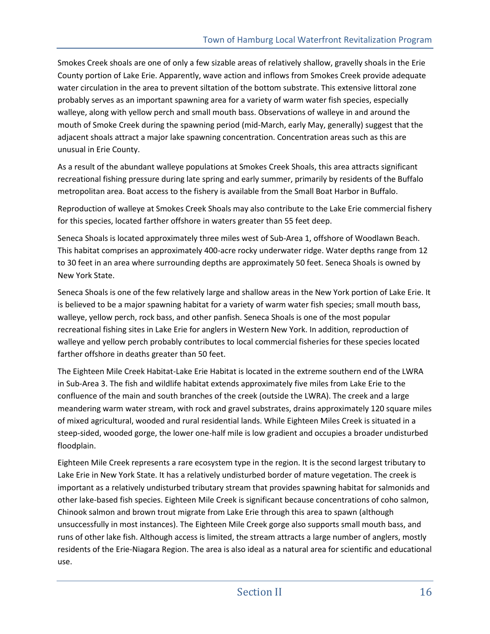Smokes Creek shoals are one of only a few sizable areas of relatively shallow, gravelly shoals in the Erie County portion of Lake Erie. Apparently, wave action and inflows from Smokes Creek provide adequate water circulation in the area to prevent siltation of the bottom substrate. This extensive littoral zone probably serves as an important spawning area for a variety of warm water fish species, especially walleye, along with yellow perch and small mouth bass. Observations of walleye in and around the mouth of Smoke Creek during the spawning period (mid-March, early May, generally) suggest that the adjacent shoals attract a major lake spawning concentration. Concentration areas such as this are unusual in Erie County.

As a result of the abundant walleye populations at Smokes Creek Shoals, this area attracts significant recreational fishing pressure during late spring and early summer, primarily by residents of the Buffalo metropolitan area. Boat access to the fishery is available from the Small Boat Harbor in Buffalo.

Reproduction of walleye at Smokes Creek Shoals may also contribute to the Lake Erie commercial fishery for this species, located farther offshore in waters greater than 55 feet deep.

Seneca Shoals is located approximately three miles west of Sub-Area 1, offshore of Woodlawn Beach. This habitat comprises an approximately 400-acre rocky underwater ridge. Water depths range from 12 to 30 feet in an area where surrounding depths are approximately 50 feet. Seneca Shoals is owned by New York State.

Seneca Shoals is one of the few relatively large and shallow areas in the New York portion of Lake Erie. It is believed to be a major spawning habitat for a variety of warm water fish species; small mouth bass, walleye, yellow perch, rock bass, and other panfish. Seneca Shoals is one of the most popular recreational fishing sites in Lake Erie for anglers in Western New York. In addition, reproduction of walleye and yellow perch probably contributes to local commercial fisheries for these species located farther offshore in deaths greater than 50 feet.

The Eighteen Mile Creek Habitat-Lake Erie Habitat is located in the extreme southern end of the LWRA in Sub-Area 3. The fish and wildlife habitat extends approximately five miles from Lake Erie to the confluence of the main and south branches of the creek (outside the LWRA). The creek and a large meandering warm water stream, with rock and gravel substrates, drains approximately 120 square miles of mixed agricultural, wooded and rural residential lands. While Eighteen Miles Creek is situated in a steep-sided, wooded gorge, the lower one-half mile is low gradient and occupies a broader undisturbed floodplain.

Eighteen Mile Creek represents a rare ecosystem type in the region. It is the second largest tributary to Lake Erie in New York State. It has a relatively undisturbed border of mature vegetation. The creek is important as a relatively undisturbed tributary stream that provides spawning habitat for salmonids and other lake-based fish species. Eighteen Mile Creek is significant because concentrations of coho salmon, Chinook salmon and brown trout migrate from Lake Erie through this area to spawn (although unsuccessfully in most instances). The Eighteen Mile Creek gorge also supports small mouth bass, and runs of other lake fish. Although access is limited, the stream attracts a large number of anglers, mostly residents of the Erie-Niagara Region. The area is also ideal as a natural area for scientific and educational use.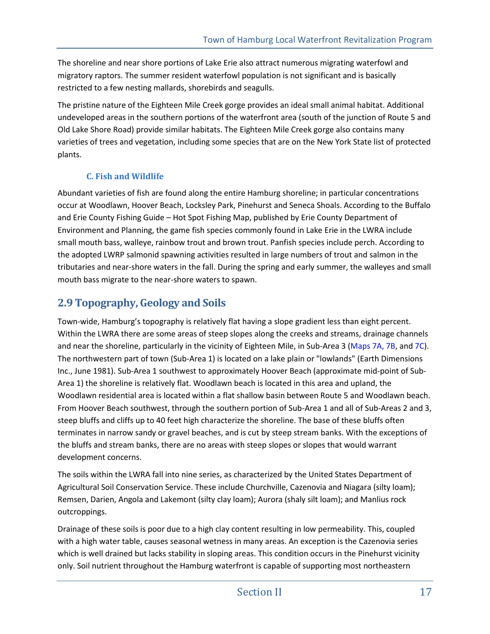The shoreline and near shore portions of Lake Erie also attract numerous migrating waterfowl and migratory raptors. The summer resident waterfowl population is not significant and is basically restricted to a few nesting mallards, shorebirds and seagulls.

The pristine nature of the Eighteen Mile Creek gorge provides an ideal small animal habitat. Additional undeveloped areas in the southern portions of the waterfront area (south of the junction of Route 5 and Old Lake Shore Road) provide similar habitats. The Eighteen Mile Creek gorge also contains many varieties of trees and vegetation, including some species that are on the New York State list of protected plants.

## **C. Fish and Wildlife**

Abundant varieties of fish are found along the entire Hamburg shoreline; in particular concentrations occur at Woodlawn, Hoover Beach, Locksley Park, Pinehurst and Seneca Shoals. According to the Buffalo and Erie County Fishing Guide – Hot Spot Fishing Map, published by Erie County Department of Environment and Planning, the game fish species commonly found in Lake Erie in the LWRA include small mouth bass, walleye, rainbow trout and brown trout. Panfish species include perch. According to the adopted LWRP salmonid spawning activities resulted in large numbers of trout and salmon in the tributaries and near-shore waters in the fall. During the spring and early summer, the walleyes and small mouth bass migrate to the near-shore waters to spawn.

## **2.9 Topography, Geology and Soils**

Town-wide, Hamburg's topography is relatively flat having a slope gradient less than eight percent. Within the LWRA there are some areas of steep slopes along the creeks and streams, drainage channels and near the shoreline, particularly in the vicinity of Eighteen Mile, in Sub-Area 3 (Maps 7A, 7B, and 7C). The northwestern part of town (Sub-Area 1) is located on a lake plain or "lowlands" (Earth Dimensions Inc., June 1981). Sub-Area 1 southwest to approximately Hoover Beach (approximate mid-point of Sub-Area 1) the shoreline is relatively flat. Woodlawn beach is located in this area and upland, the Woodlawn residential area is located within a flat shallow basin between Route 5 and Woodlawn beach. From Hoover Beach southwest, through the southern portion of Sub-Area 1 and all of Sub-Areas 2 and 3, steep bluffs and cliffs up to 40 feet high characterize the shoreline. The base of these bluffs often terminates in narrow sandy or gravel beaches, and is cut by steep stream banks. With the exceptions of the bluffs and stream banks, there are no areas with steep slopes or slopes that would warrant development concerns.

The soils within the LWRA fall into nine series, as characterized by the United States Department of Agricultural Soil Conservation Service. These include Churchville, Cazenovia and Niagara (silty loam); Remsen, Darien, Angola and Lakemont (silty clay loam); Aurora (shaly silt loam); and Manlius rock outcroppings.

Drainage of these soils is poor due to a high clay content resulting in low permeability. This, coupled with a high water table, causes seasonal wetness in many areas. An exception is the Cazenovia series which is well drained but lacks stability in sloping areas. This condition occurs in the Pinehurst vicinity only. Soil nutrient throughout the Hamburg waterfront is capable of supporting most northeastern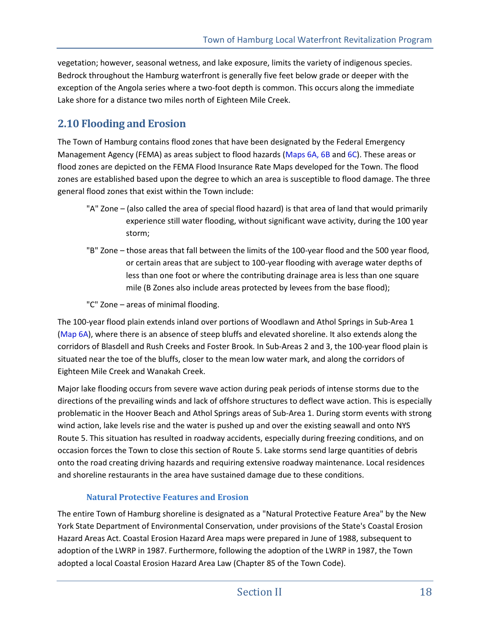vegetation; however, seasonal wetness, and lake exposure, limits the variety of indigenous species. Bedrock throughout the Hamburg waterfront is generally five feet below grade or deeper with the exception of the Angola series where a two-foot depth is common. This occurs along the immediate Lake shore for a distance two miles north of Eighteen Mile Creek.

## **2.10 Flooding and Erosion**

The Town of Hamburg contains flood zones that have been designated by the Federal Emergency Management Agency (FEMA) as areas subject to flood hazards (Maps 6A, 6B and 6C). These areas or flood zones are depicted on the FEMA Flood Insurance Rate Maps developed for the Town. The flood zones are established based upon the degree to which an area is susceptible to flood damage. The three general flood zones that exist within the Town include:

- "A" Zone (also called the area of special flood hazard) is that area of land that would primarily experience still water flooding, without significant wave activity, during the 100 year storm;
- "B" Zone those areas that fall between the limits of the 100-year flood and the 500 year flood, or certain areas that are subject to 100-year flooding with average water depths of less than one foot or where the contributing drainage area is less than one square mile (B Zones also include areas protected by levees from the base flood);
- "C" Zone areas of minimal flooding.

The 100-year flood plain extends inland over portions of Woodlawn and Athol Springs in Sub-Area 1 (Map 6A), where there is an absence of steep bluffs and elevated shoreline. It also extends along the corridors of Blasdell and Rush Creeks and Foster Brook. In Sub-Areas 2 and 3, the 100-year flood plain is situated near the toe of the bluffs, closer to the mean low water mark, and along the corridors of Eighteen Mile Creek and Wanakah Creek.

Major lake flooding occurs from severe wave action during peak periods of intense storms due to the directions of the prevailing winds and lack of offshore structures to deflect wave action. This is especially problematic in the Hoover Beach and Athol Springs areas of Sub-Area 1. During storm events with strong wind action, lake levels rise and the water is pushed up and over the existing seawall and onto NYS Route 5. This situation has resulted in roadway accidents, especially during freezing conditions, and on occasion forces the Town to close this section of Route 5. Lake storms send large quantities of debris onto the road creating driving hazards and requiring extensive roadway maintenance. Local residences and shoreline restaurants in the area have sustained damage due to these conditions.

## **Natural Protective Features and Erosion**

The entire Town of Hamburg shoreline is designated as a "Natural Protective Feature Area" by the New York State Department of Environmental Conservation, under provisions of the State's Coastal Erosion Hazard Areas Act. Coastal Erosion Hazard Area maps were prepared in June of 1988, subsequent to adoption of the LWRP in 1987. Furthermore, following the adoption of the LWRP in 1987, the Town adopted a local Coastal Erosion Hazard Area Law (Chapter 85 of the Town Code).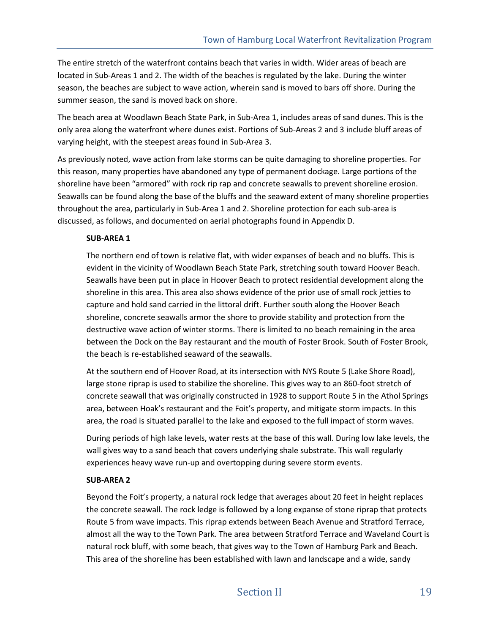The entire stretch of the waterfront contains beach that varies in width. Wider areas of beach are located in Sub-Areas 1 and 2. The width of the beaches is regulated by the lake. During the winter season, the beaches are subject to wave action, wherein sand is moved to bars off shore. During the summer season, the sand is moved back on shore.

The beach area at Woodlawn Beach State Park, in Sub-Area 1, includes areas of sand dunes. This is the only area along the waterfront where dunes exist. Portions of Sub-Areas 2 and 3 include bluff areas of varying height, with the steepest areas found in Sub-Area 3.

As previously noted, wave action from lake storms can be quite damaging to shoreline properties. For this reason, many properties have abandoned any type of permanent dockage. Large portions of the shoreline have been "armored" with rock rip rap and concrete seawalls to prevent shoreline erosion. Seawalls can be found along the base of the bluffs and the seaward extent of many shoreline properties throughout the area, particularly in Sub-Area 1 and 2. Shoreline protection for each sub-area is discussed, as follows, and documented on aerial photographs found in Appendix D.

### **SUB-AREA 1**

The northern end of town is relative flat, with wider expanses of beach and no bluffs. This is evident in the vicinity of Woodlawn Beach State Park, stretching south toward Hoover Beach. Seawalls have been put in place in Hoover Beach to protect residential development along the shoreline in this area. This area also shows evidence of the prior use of small rock jetties to capture and hold sand carried in the littoral drift. Further south along the Hoover Beach shoreline, concrete seawalls armor the shore to provide stability and protection from the destructive wave action of winter storms. There is limited to no beach remaining in the area between the Dock on the Bay restaurant and the mouth of Foster Brook. South of Foster Brook, the beach is re-established seaward of the seawalls.

At the southern end of Hoover Road, at its intersection with NYS Route 5 (Lake Shore Road), large stone riprap is used to stabilize the shoreline. This gives way to an 860-foot stretch of concrete seawall that was originally constructed in 1928 to support Route 5 in the Athol Springs area, between Hoak's restaurant and the Foit's property, and mitigate storm impacts. In this area, the road is situated parallel to the lake and exposed to the full impact of storm waves.

During periods of high lake levels, water rests at the base of this wall. During low lake levels, the wall gives way to a sand beach that covers underlying shale substrate. This wall regularly experiences heavy wave run-up and overtopping during severe storm events.

### **SUB-AREA 2**

Beyond the Foit's property, a natural rock ledge that averages about 20 feet in height replaces the concrete seawall. The rock ledge is followed by a long expanse of stone riprap that protects Route 5 from wave impacts. This riprap extends between Beach Avenue and Stratford Terrace, almost all the way to the Town Park. The area between Stratford Terrace and Waveland Court is natural rock bluff, with some beach, that gives way to the Town of Hamburg Park and Beach. This area of the shoreline has been established with lawn and landscape and a wide, sandy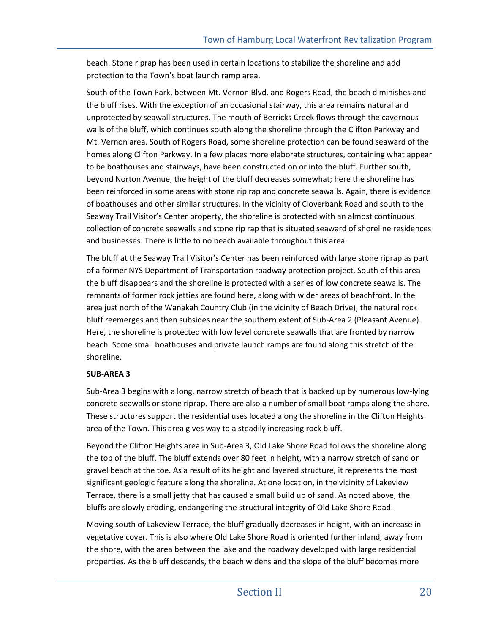beach. Stone riprap has been used in certain locations to stabilize the shoreline and add protection to the Town's boat launch ramp area.

South of the Town Park, between Mt. Vernon Blvd. and Rogers Road, the beach diminishes and the bluff rises. With the exception of an occasional stairway, this area remains natural and unprotected by seawall structures. The mouth of Berricks Creek flows through the cavernous walls of the bluff, which continues south along the shoreline through the Clifton Parkway and Mt. Vernon area. South of Rogers Road, some shoreline protection can be found seaward of the homes along Clifton Parkway. In a few places more elaborate structures, containing what appear to be boathouses and stairways, have been constructed on or into the bluff. Further south, beyond Norton Avenue, the height of the bluff decreases somewhat; here the shoreline has been reinforced in some areas with stone rip rap and concrete seawalls. Again, there is evidence of boathouses and other similar structures. In the vicinity of Cloverbank Road and south to the Seaway Trail Visitor's Center property, the shoreline is protected with an almost continuous collection of concrete seawalls and stone rip rap that is situated seaward of shoreline residences and businesses. There is little to no beach available throughout this area.

The bluff at the Seaway Trail Visitor's Center has been reinforced with large stone riprap as part of a former NYS Department of Transportation roadway protection project. South of this area the bluff disappears and the shoreline is protected with a series of low concrete seawalls. The remnants of former rock jetties are found here, along with wider areas of beachfront. In the area just north of the Wanakah Country Club (in the vicinity of Beach Drive), the natural rock bluff reemerges and then subsides near the southern extent of Sub-Area 2 (Pleasant Avenue). Here, the shoreline is protected with low level concrete seawalls that are fronted by narrow beach. Some small boathouses and private launch ramps are found along this stretch of the shoreline.

### **SUB-AREA 3**

Sub-Area 3 begins with a long, narrow stretch of beach that is backed up by numerous low-lying concrete seawalls or stone riprap. There are also a number of small boat ramps along the shore. These structures support the residential uses located along the shoreline in the Clifton Heights area of the Town. This area gives way to a steadily increasing rock bluff.

Beyond the Clifton Heights area in Sub-Area 3, Old Lake Shore Road follows the shoreline along the top of the bluff. The bluff extends over 80 feet in height, with a narrow stretch of sand or gravel beach at the toe. As a result of its height and layered structure, it represents the most significant geologic feature along the shoreline. At one location, in the vicinity of Lakeview Terrace, there is a small jetty that has caused a small build up of sand. As noted above, the bluffs are slowly eroding, endangering the structural integrity of Old Lake Shore Road.

Moving south of Lakeview Terrace, the bluff gradually decreases in height, with an increase in vegetative cover. This is also where Old Lake Shore Road is oriented further inland, away from the shore, with the area between the lake and the roadway developed with large residential properties. As the bluff descends, the beach widens and the slope of the bluff becomes more